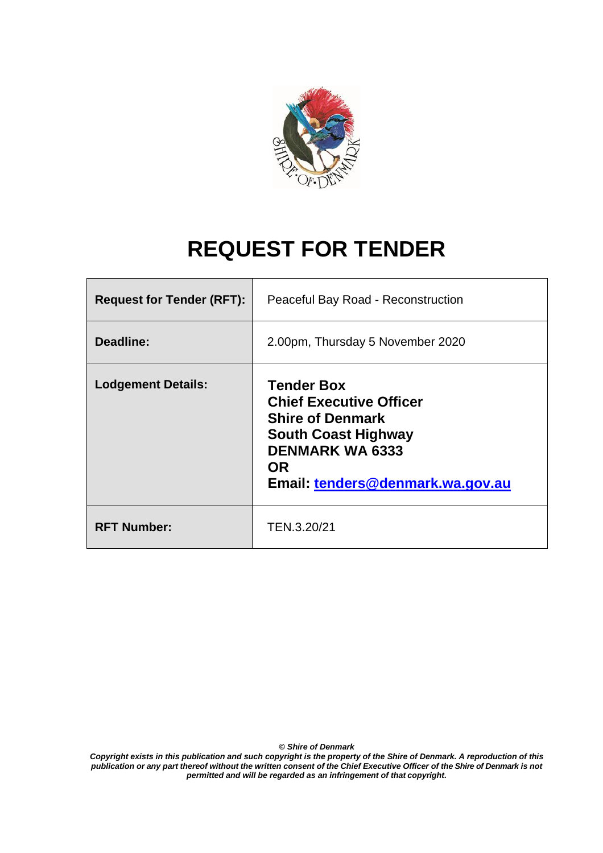

# **REQUEST FOR TENDER**

| <b>Request for Tender (RFT):</b> | Peaceful Bay Road - Reconstruction                                                                                                                                                      |
|----------------------------------|-----------------------------------------------------------------------------------------------------------------------------------------------------------------------------------------|
| Deadline:                        | 2.00pm, Thursday 5 November 2020                                                                                                                                                        |
| <b>Lodgement Details:</b>        | <b>Tender Box</b><br><b>Chief Executive Officer</b><br><b>Shire of Denmark</b><br><b>South Coast Highway</b><br><b>DENMARK WA 6333</b><br><b>OR</b><br>Email: tenders@denmark.wa.gov.au |
| <b>RFT Number:</b>               | TEN.3.20/21                                                                                                                                                                             |

*© Shire of Denmark*

*Copyright exists in this publication and such copyright is the property of the Shire of Denmark. A reproduction of this*  publication or any part thereof without the written consent of the Chief Executive Officer of the Shire of Denmark is not *permitted and will be regarded as an infringement of that copyright.*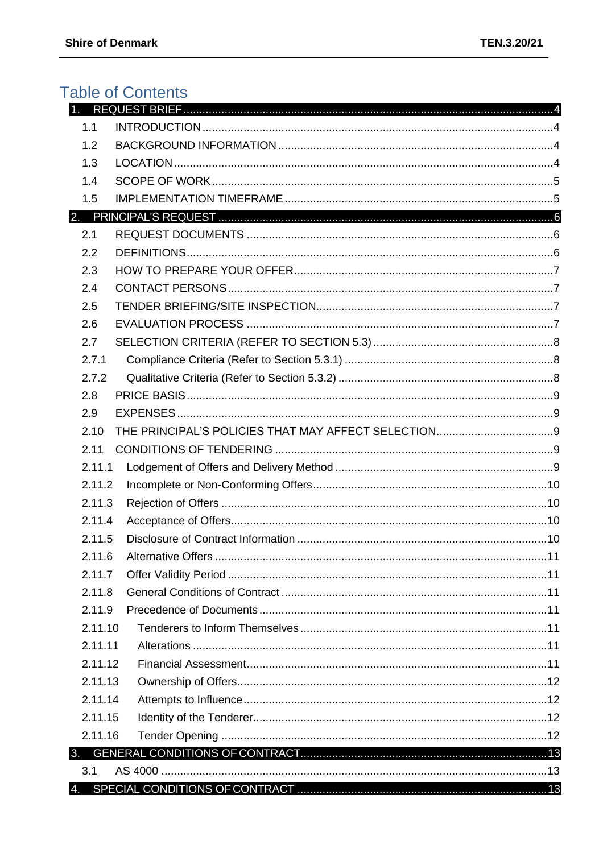# **Table of Contents**

| 1.1     |                           |     |
|---------|---------------------------|-----|
| 1.2     |                           |     |
| 1.3     |                           |     |
| 1.4     |                           |     |
| 1.5     |                           |     |
|         |                           |     |
| 2.1     |                           |     |
| 2.2     |                           |     |
| 2.3     |                           |     |
| 2.4     |                           |     |
| 2.5     |                           |     |
| 2.6     |                           |     |
| 2.7     |                           |     |
| 2.7.1   |                           |     |
| 2.7.2   |                           |     |
| 2.8     |                           |     |
| 2.9     |                           |     |
| 2.10    |                           |     |
| 2.11    |                           |     |
| 2.11.1  |                           |     |
| 2.11.2  |                           |     |
| 2.11.3  |                           |     |
| 2.11.4  |                           |     |
| 2.11.5  |                           |     |
| 2116    | <b>Alternative Offers</b> | .11 |
| 2.11.7  |                           |     |
| 2.11.8  |                           |     |
| 2.11.9  |                           |     |
| 2.11.10 |                           |     |
| 2.11.11 |                           |     |
| 2.11.12 |                           |     |
| 2.11.13 |                           |     |
| 2.11.14 |                           |     |
| 2.11.15 |                           |     |
| 2.11.16 |                           |     |
| 3.      |                           |     |
| 3.1     |                           |     |
| 4.      |                           |     |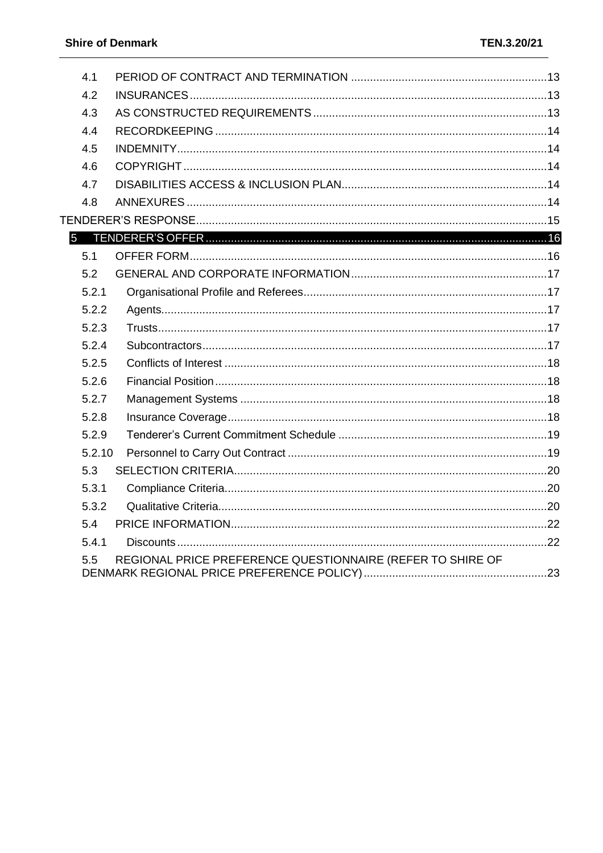| 4.1    |                                                            |  |
|--------|------------------------------------------------------------|--|
| 4.2    |                                                            |  |
| 4.3    |                                                            |  |
| 4.4    |                                                            |  |
| 4.5    |                                                            |  |
| 4.6    |                                                            |  |
| 4.7    |                                                            |  |
| 4.8    |                                                            |  |
|        |                                                            |  |
|        |                                                            |  |
| 5.1    |                                                            |  |
| 5.2    |                                                            |  |
| 5.2.1  |                                                            |  |
| 5.2.2  |                                                            |  |
| 5.2.3  |                                                            |  |
| 5.2.4  |                                                            |  |
| 5.2.5  |                                                            |  |
| 5.2.6  |                                                            |  |
| 5.2.7  |                                                            |  |
| 5.2.8  |                                                            |  |
| 5.2.9  |                                                            |  |
| 5.2.10 |                                                            |  |
| 5.3    |                                                            |  |
| 5.3.1  |                                                            |  |
| 5.3.2  |                                                            |  |
| 5.4    |                                                            |  |
| 5.4.1  |                                                            |  |
| 5.5    | REGIONAL PRICE PREFERENCE QUESTIONNAIRE (REFER TO SHIRE OF |  |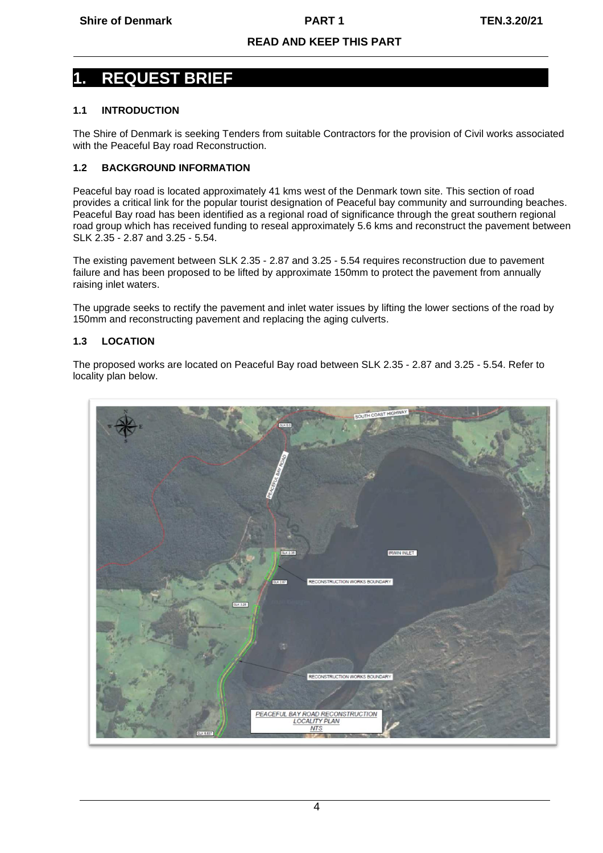# <span id="page-3-0"></span>**1. REQUEST BRIEF**

# <span id="page-3-1"></span>**1.1 INTRODUCTION**

The Shire of Denmark is seeking Tenders from suitable Contractors for the provision of Civil works associated with the Peaceful Bay road Reconstruction.

# <span id="page-3-2"></span>**1.2 BACKGROUND INFORMATION**

Peaceful bay road is located approximately 41 kms west of the Denmark town site. This section of road provides a critical link for the popular tourist designation of Peaceful bay community and surrounding beaches. Peaceful Bay road has been identified as a regional road of significance through the great southern regional road group which has received funding to reseal approximately 5.6 kms and reconstruct the pavement between SLK 2.35 - 2.87 and 3.25 - 5.54.

The existing pavement between SLK 2.35 - 2.87 and 3.25 - 5.54 requires reconstruction due to pavement failure and has been proposed to be lifted by approximate 150mm to protect the pavement from annually raising inlet waters.

The upgrade seeks to rectify the pavement and inlet water issues by lifting the lower sections of the road by 150mm and reconstructing pavement and replacing the aging culverts.

# <span id="page-3-3"></span>**1.3 LOCATION**

The proposed works are located on Peaceful Bay road between SLK 2.35 - 2.87 and 3.25 - 5.54. Refer to locality plan below.

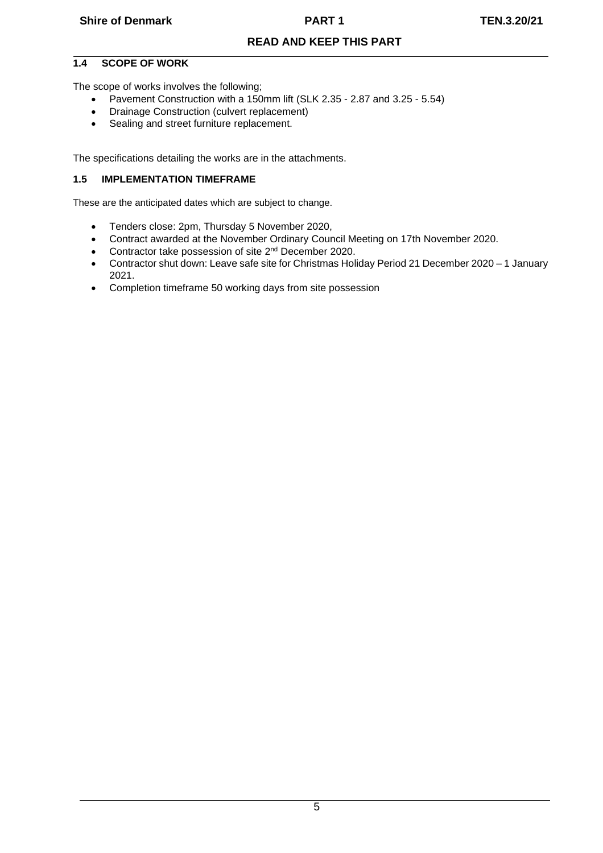# <span id="page-4-0"></span>**1.4 SCOPE OF WORK**

The scope of works involves the following;

- Pavement Construction with a 150mm lift (SLK 2.35 2.87 and 3.25 5.54)
- Drainage Construction (culvert replacement)
- Sealing and street furniture replacement.

The specifications detailing the works are in the attachments.

#### <span id="page-4-1"></span>**1.5 IMPLEMENTATION TIMEFRAME**

These are the anticipated dates which are subject to change.

- Tenders close: 2pm, Thursday 5 November 2020,
- Contract awarded at the November Ordinary Council Meeting on 17th November 2020.
- Contractor take possession of site 2<sup>nd</sup> December 2020.
- Contractor shut down: Leave safe site for Christmas Holiday Period 21 December 2020 1 January 2021.
- Completion timeframe 50 working days from site possession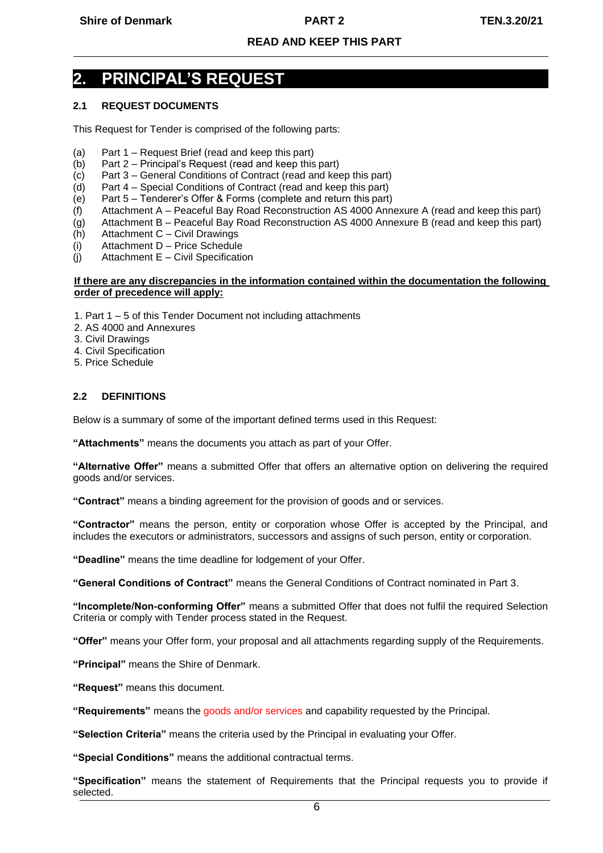# <span id="page-5-0"></span>**2. PRINCIPAL'S REQUEST**

# <span id="page-5-1"></span>**2.1 REQUEST DOCUMENTS**

This Request for Tender is comprised of the following parts:

- (a) Part 1 Request Brief (read and keep this part)
- (b) Part 2 Principal's Request (read and keep this part)
- (c) Part 3 General Conditions of Contract (read and keep this part)
- (d) Part 4 Special Conditions of Contract (read and keep this part)
- (e) Part 5 Tenderer's Offer & Forms (complete and return this part)
- (f) Attachment A Peaceful Bay Road Reconstruction AS 4000 Annexure A (read and keep this part)
- (g) Attachment B Peaceful Bay Road Reconstruction AS 4000 Annexure B (read and keep this part)
- (h) Attachment C Civil Drawings
- (i) Attachment D Price Schedule
- (j) Attachment E Civil Specification

#### **If there are any discrepancies in the information contained within the documentation the following order of precedence will apply:**

- 1. Part 1 5 of this Tender Document not including attachments
- 2. AS 4000 and Annexures
- 3. Civil Drawings
- 4. Civil Specification
- 5. Price Schedule

#### <span id="page-5-2"></span>**2.2 DEFINITIONS**

Below is a summary of some of the important defined terms used in this Request:

**"Attachments"** means the documents you attach as part of your Offer.

**"Alternative Offer"** means a submitted Offer that offers an alternative option on delivering the required goods and/or services.

**"Contract"** means a binding agreement for the provision of goods and or services.

**"Contractor"** means the person, entity or corporation whose Offer is accepted by the Principal, and includes the executors or administrators, successors and assigns of such person, entity or corporation.

**"Deadline"** means the time deadline for lodgement of your Offer.

**"General Conditions of Contract"** means the General Conditions of Contract nominated in Part 3.

**"Incomplete/Non-conforming Offer"** means a submitted Offer that does not fulfil the required Selection Criteria or comply with Tender process stated in the Request.

**"Offer"** means your Offer form, your proposal and all attachments regarding supply of the Requirements.

**"Principal"** means the Shire of Denmark.

**"Request"** means this document.

**"Requirements"** means the goods and/or services and capability requested by the Principal.

**"Selection Criteria"** means the criteria used by the Principal in evaluating your Offer.

**"Special Conditions"** means the additional contractual terms.

**"Specification"** means the statement of Requirements that the Principal requests you to provide if selected.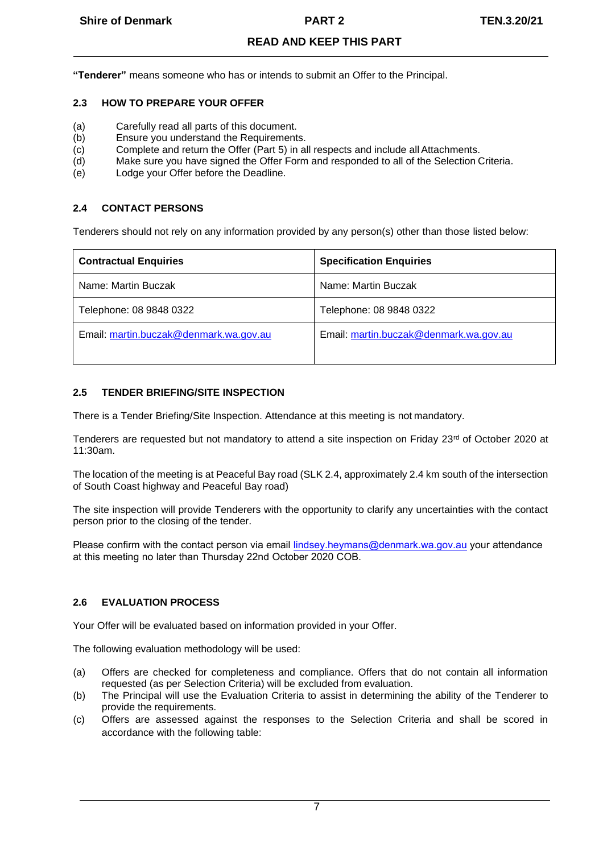**"Tenderer"** means someone who has or intends to submit an Offer to the Principal.

# <span id="page-6-0"></span>**2.3 HOW TO PREPARE YOUR OFFER**

- (a) Carefully read all parts of this document.<br>(b) Ensure you understand the Requirement
- Ensure you understand the Requirements.
- (c) Complete and return the Offer (Part 5) in all respects and include all Attachments.
- (d) Make sure you have signed the Offer Form and responded to all of the Selection Criteria.
- (e) Lodge your Offer before the Deadline.

#### <span id="page-6-1"></span>**2.4 CONTACT PERSONS**

Tenderers should not rely on any information provided by any person(s) other than those listed below:

| <b>Contractual Enquiries</b>           | <b>Specification Enquiries</b>         |
|----------------------------------------|----------------------------------------|
| Name: Martin Buczak                    | Name: Martin Buczak                    |
| Telephone: 08 9848 0322                | Telephone: 08 9848 0322                |
| Email: martin.buczak@denmark.wa.gov.au | Email: martin.buczak@denmark.wa.gov.au |

# <span id="page-6-2"></span>**2.5 TENDER BRIEFING/SITE INSPECTION**

There is a Tender Briefing/Site Inspection. Attendance at this meeting is not mandatory.

Tenderers are requested but not mandatory to attend a site inspection on Friday 23<sup>rd</sup> of October 2020 at 11:30am.

The location of the meeting is at Peaceful Bay road (SLK 2.4, approximately 2.4 km south of the intersection of South Coast highway and Peaceful Bay road)

The site inspection will provide Tenderers with the opportunity to clarify any uncertainties with the contact person prior to the closing of the tender.

Please confirm with the contact person via email lindsey.heymans@denmark.wa.gov.au your attendance at this meeting no later than Thursday 22nd October 2020 COB.

#### <span id="page-6-3"></span>**2.6 EVALUATION PROCESS**

Your Offer will be evaluated based on information provided in your Offer.

The following evaluation methodology will be used:

- (a) Offers are checked for completeness and compliance. Offers that do not contain all information requested (as per Selection Criteria) will be excluded from evaluation.
- (b) The Principal will use the Evaluation Criteria to assist in determining the ability of the Tenderer to provide the requirements.
- (c) Offers are assessed against the responses to the Selection Criteria and shall be scored in accordance with the following table: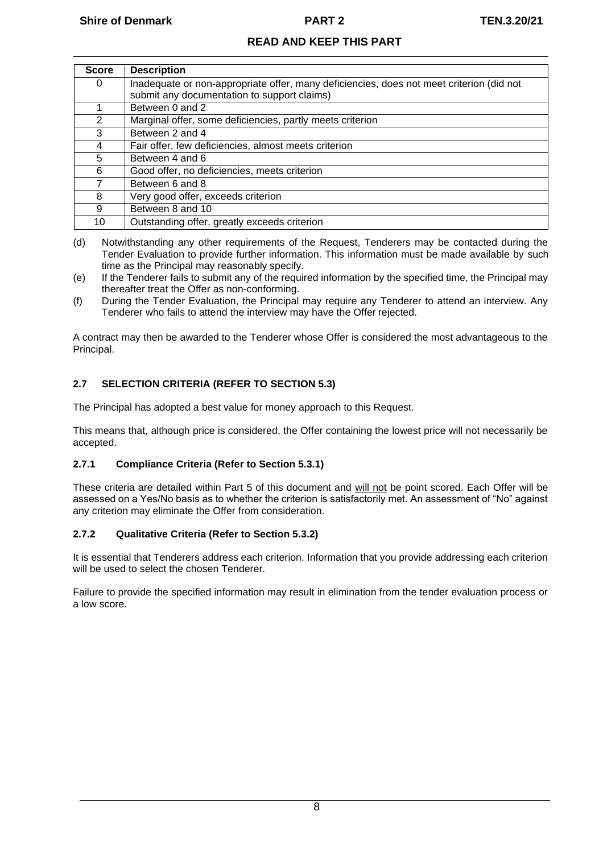| <b>Score</b>  | <b>Description</b>                                                                       |
|---------------|------------------------------------------------------------------------------------------|
| 0             | Inadequate or non-appropriate offer, many deficiencies, does not meet criterion (did not |
|               | submit any documentation to support claims)                                              |
|               | Between 0 and 2                                                                          |
| $\mathcal{P}$ | Marginal offer, some deficiencies, partly meets criterion                                |
| 3             | Between 2 and 4                                                                          |
| 4             | Fair offer, few deficiencies, almost meets criterion                                     |
| 5             | Between 4 and 6                                                                          |
| 6             | Good offer, no deficiencies, meets criterion                                             |
|               | Between 6 and 8                                                                          |
| 8             | Very good offer, exceeds criterion                                                       |
| 9             | Between 8 and 10                                                                         |
| 10            | Outstanding offer, greatly exceeds criterion                                             |

- (d) Notwithstanding any other requirements of the Request, Tenderers may be contacted during the Tender Evaluation to provide further information. This information must be made available by such time as the Principal may reasonably specify.
- (e) If the Tenderer fails to submit any of the required information by the specified time, the Principal may thereafter treat the Offer as non-conforming.
- (f) During the Tender Evaluation, the Principal may require any Tenderer to attend an interview. Any Tenderer who fails to attend the interview may have the Offer rejected.

A contract may then be awarded to the Tenderer whose Offer is considered the most advantageous to the Principal.

# <span id="page-7-0"></span>**2.7 SELECTION CRITERIA (REFER TO SECTION 5.3)**

The Principal has adopted a best value for money approach to this Request.

This means that, although price is considered, the Offer containing the lowest price will not necessarily be accepted.

# <span id="page-7-1"></span>**2.7.1 Compliance Criteria (Refer to Section 5.3.1)**

These criteria are detailed within Part 5 of this document and will not be point scored. Each Offer will be assessed on a Yes/No basis as to whether the criterion is satisfactorily met. An assessment of "No" against any criterion may eliminate the Offer from consideration.

# <span id="page-7-2"></span>**2.7.2 Qualitative Criteria (Refer to Section 5.3.2)**

It is essential that Tenderers address each criterion. Information that you provide addressing each criterion will be used to select the chosen Tenderer.

Failure to provide the specified information may result in elimination from the tender evaluation process or a low score.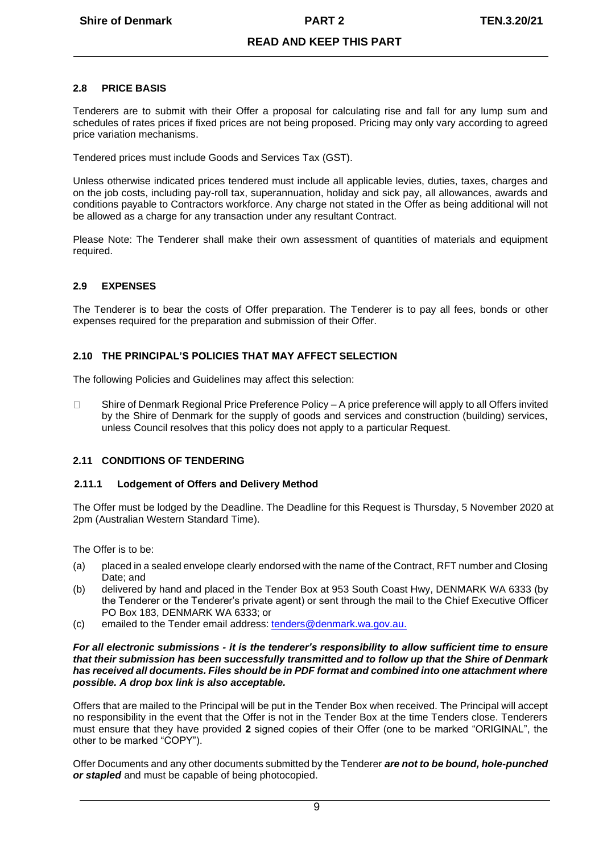### <span id="page-8-0"></span>**2.8 PRICE BASIS**

Tenderers are to submit with their Offer a proposal for calculating rise and fall for any lump sum and schedules of rates prices if fixed prices are not being proposed. Pricing may only vary according to agreed price variation mechanisms.

Tendered prices must include Goods and Services Tax (GST).

Unless otherwise indicated prices tendered must include all applicable levies, duties, taxes, charges and on the job costs, including pay-roll tax, superannuation, holiday and sick pay, all allowances, awards and conditions payable to Contractors workforce. Any charge not stated in the Offer as being additional will not be allowed as a charge for any transaction under any resultant Contract.

Please Note: The Tenderer shall make their own assessment of quantities of materials and equipment required.

# <span id="page-8-1"></span>**2.9 EXPENSES**

The Tenderer is to bear the costs of Offer preparation. The Tenderer is to pay all fees, bonds or other expenses required for the preparation and submission of their Offer.

# <span id="page-8-2"></span>**2.10 THE PRINCIPAL'S POLICIES THAT MAY AFFECT SELECTION**

The following Policies and Guidelines may affect this selection:

 $\Box$ Shire of Denmark Regional Price Preference Policy – A price preference will apply to all Offers invited by the Shire of Denmark for the supply of goods and services and construction (building) services, unless Council resolves that this policy does not apply to a particular Request.

#### <span id="page-8-3"></span>**2.11 CONDITIONS OF TENDERING**

#### <span id="page-8-4"></span>**2.11.1 Lodgement of Offers and Delivery Method**

The Offer must be lodged by the Deadline. The Deadline for this Request is Thursday, 5 November 2020 at 2pm (Australian Western Standard Time).

The Offer is to be:

- (a) placed in a sealed envelope clearly endorsed with the name of the Contract, RFT number and Closing Date; and
- (b) delivered by hand and placed in the Tender Box at 953 South Coast Hwy, DENMARK WA 6333 (by the Tenderer or the Tenderer's private agent) or sent through the mail to the Chief Executive Officer PO Box 183, DENMARK WA 6333; or
- (c) emailed to the Tender email address: [tenders@denmark.wa.gov.au.](mailto:tenders@denmark.wa.gov.au.)

#### *For all electronic submissions - it is the tenderer's responsibility to allow sufficient time to ensure that their submission has been successfully transmitted and to follow up that the Shire of Denmark has received all documents. Files should be in PDF format and combined into one attachment where possible. A drop box link is also acceptable.*

Offers that are mailed to the Principal will be put in the Tender Box when received. The Principal will accept no responsibility in the event that the Offer is not in the Tender Box at the time Tenders close. Tenderers must ensure that they have provided **2** signed copies of their Offer (one to be marked "ORIGINAL", the other to be marked "COPY").

Offer Documents and any other documents submitted by the Tenderer *are not to be bound, hole-punched or stapled* and must be capable of being photocopied.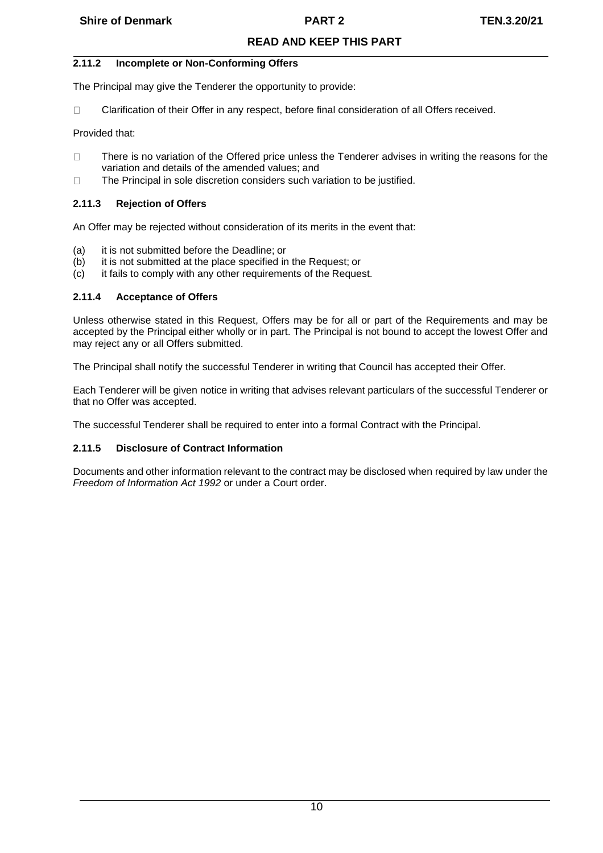# <span id="page-9-0"></span>**2.11.2 Incomplete or Non-Conforming Offers**

The Principal may give the Tenderer the opportunity to provide:

 $\Box$ Clarification of their Offer in any respect, before final consideration of all Offers received.

Provided that:

- $\Box$ There is no variation of the Offered price unless the Tenderer advises in writing the reasons for the variation and details of the amended values; and
- $\Box$ The Principal in sole discretion considers such variation to be justified.

# <span id="page-9-1"></span>**2.11.3 Rejection of Offers**

An Offer may be rejected without consideration of its merits in the event that:

- (a) it is not submitted before the Deadline; or<br>(b) it is not submitted at the place specified in
- it is not submitted at the place specified in the Request; or
- (c) it fails to comply with any other requirements of the Request.

# <span id="page-9-2"></span>**2.11.4 Acceptance of Offers**

Unless otherwise stated in this Request, Offers may be for all or part of the Requirements and may be accepted by the Principal either wholly or in part. The Principal is not bound to accept the lowest Offer and may reject any or all Offers submitted.

The Principal shall notify the successful Tenderer in writing that Council has accepted their Offer.

Each Tenderer will be given notice in writing that advises relevant particulars of the successful Tenderer or that no Offer was accepted.

The successful Tenderer shall be required to enter into a formal Contract with the Principal.

### <span id="page-9-3"></span>**2.11.5 Disclosure of Contract Information**

Documents and other information relevant to the contract may be disclosed when required by law under the *Freedom of Information Act 1992* or under a Court order.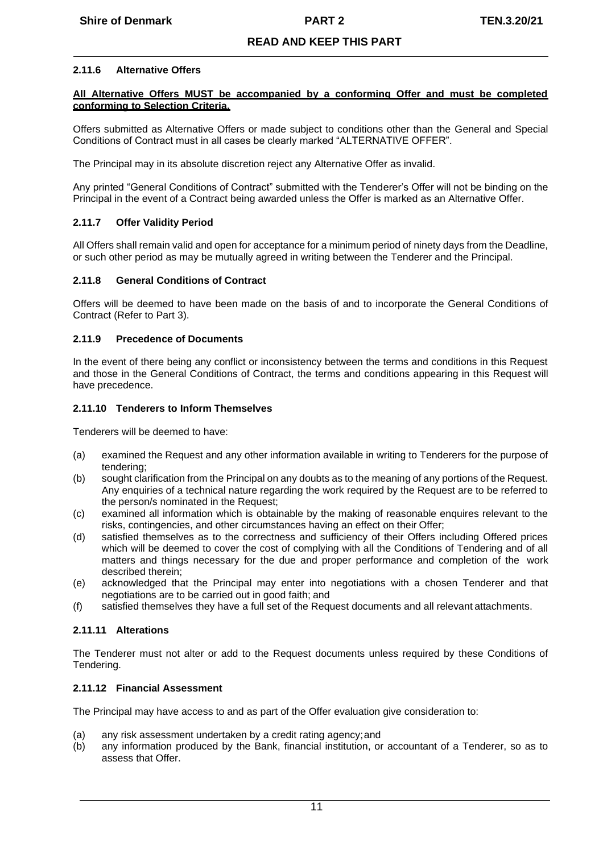#### <span id="page-10-0"></span>**2.11.6 Alternative Offers**

#### **All Alternative Offers MUST be accompanied by a conforming Offer and must be completed conforming to Selection Criteria.**

Offers submitted as Alternative Offers or made subject to conditions other than the General and Special Conditions of Contract must in all cases be clearly marked "ALTERNATIVE OFFER".

The Principal may in its absolute discretion reject any Alternative Offer as invalid.

Any printed "General Conditions of Contract" submitted with the Tenderer's Offer will not be binding on the Principal in the event of a Contract being awarded unless the Offer is marked as an Alternative Offer.

#### <span id="page-10-1"></span>**2.11.7 Offer Validity Period**

All Offers shall remain valid and open for acceptance for a minimum period of ninety days from the Deadline, or such other period as may be mutually agreed in writing between the Tenderer and the Principal.

#### <span id="page-10-2"></span>**2.11.8 General Conditions of Contract**

Offers will be deemed to have been made on the basis of and to incorporate the General Conditions of Contract (Refer to Part 3).

#### <span id="page-10-3"></span>**2.11.9 Precedence of Documents**

In the event of there being any conflict or inconsistency between the terms and conditions in this Request and those in the General Conditions of Contract, the terms and conditions appearing in this Request will have precedence.

#### <span id="page-10-4"></span>**2.11.10 Tenderers to Inform Themselves**

Tenderers will be deemed to have:

- (a) examined the Request and any other information available in writing to Tenderers for the purpose of tendering;
- (b) sought clarification from the Principal on any doubts as to the meaning of any portions of the Request. Any enquiries of a technical nature regarding the work required by the Request are to be referred to the person/s nominated in the Request;
- (c) examined all information which is obtainable by the making of reasonable enquires relevant to the risks, contingencies, and other circumstances having an effect on their Offer;
- (d) satisfied themselves as to the correctness and sufficiency of their Offers including Offered prices which will be deemed to cover the cost of complying with all the Conditions of Tendering and of all matters and things necessary for the due and proper performance and completion of the work described therein;
- (e) acknowledged that the Principal may enter into negotiations with a chosen Tenderer and that negotiations are to be carried out in good faith; and
- (f) satisfied themselves they have a full set of the Request documents and all relevant attachments.

#### <span id="page-10-5"></span>**2.11.11 Alterations**

The Tenderer must not alter or add to the Request documents unless required by these Conditions of Tendering.

#### <span id="page-10-6"></span>**2.11.12 Financial Assessment**

The Principal may have access to and as part of the Offer evaluation give consideration to:

- (a) any risk assessment undertaken by a credit rating agency;and
- (b) any information produced by the Bank, financial institution, or accountant of a Tenderer, so as to assess that Offer.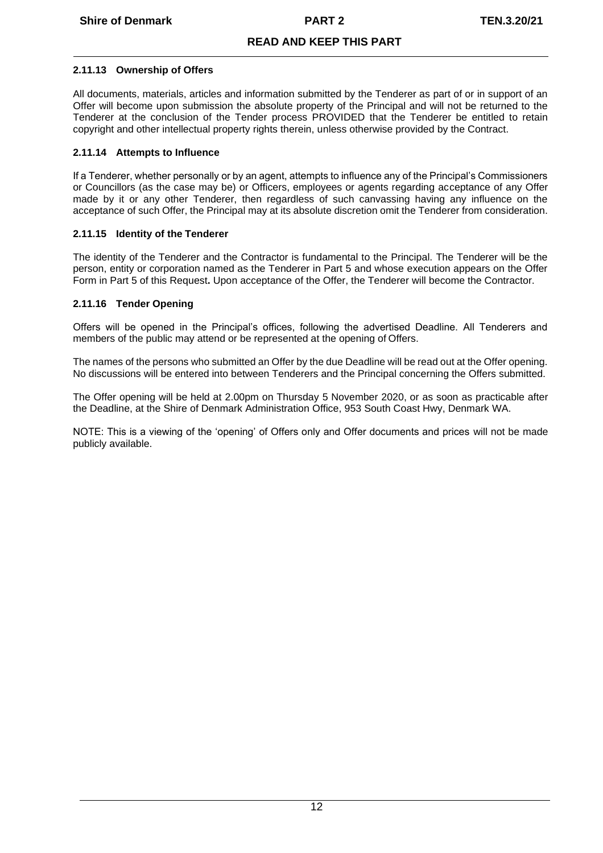#### <span id="page-11-0"></span>**2.11.13 Ownership of Offers**

All documents, materials, articles and information submitted by the Tenderer as part of or in support of an Offer will become upon submission the absolute property of the Principal and will not be returned to the Tenderer at the conclusion of the Tender process PROVIDED that the Tenderer be entitled to retain copyright and other intellectual property rights therein, unless otherwise provided by the Contract.

### <span id="page-11-1"></span>**2.11.14 Attempts to Influence**

If a Tenderer, whether personally or by an agent, attempts to influence any of the Principal's Commissioners or Councillors (as the case may be) or Officers, employees or agents regarding acceptance of any Offer made by it or any other Tenderer, then regardless of such canvassing having any influence on the acceptance of such Offer, the Principal may at its absolute discretion omit the Tenderer from consideration.

# <span id="page-11-2"></span>**2.11.15 Identity of the Tenderer**

The identity of the Tenderer and the Contractor is fundamental to the Principal. The Tenderer will be the person, entity or corporation named as the Tenderer in Part 5 and whose execution appears on the Offer Form in Part 5 of this Request**.** Upon acceptance of the Offer, the Tenderer will become the Contractor.

# <span id="page-11-3"></span>**2.11.16 Tender Opening**

Offers will be opened in the Principal's offices, following the advertised Deadline. All Tenderers and members of the public may attend or be represented at the opening of Offers.

The names of the persons who submitted an Offer by the due Deadline will be read out at the Offer opening. No discussions will be entered into between Tenderers and the Principal concerning the Offers submitted.

The Offer opening will be held at 2.00pm on Thursday 5 November 2020, or as soon as practicable after the Deadline, at the Shire of Denmark Administration Office, 953 South Coast Hwy, Denmark WA.

NOTE: This is a viewing of the 'opening' of Offers only and Offer documents and prices will not be made publicly available.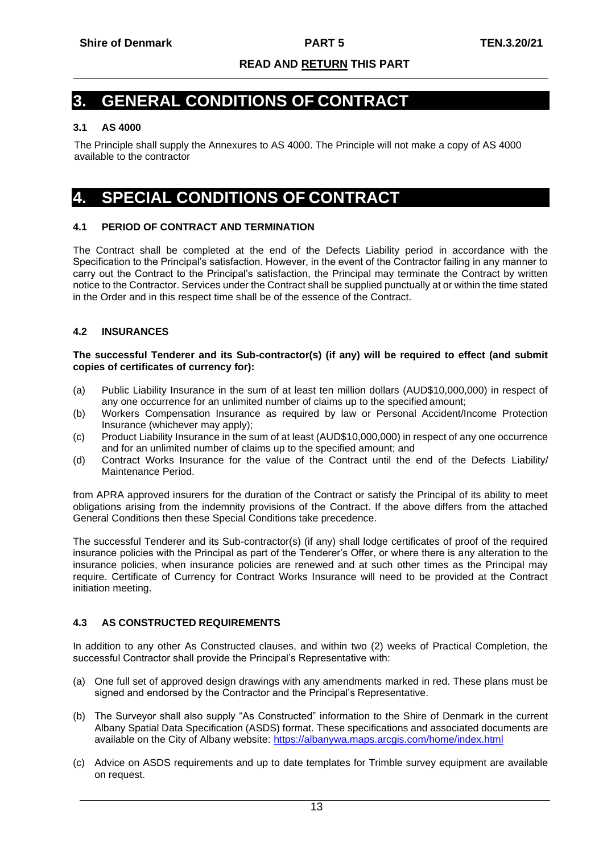# <span id="page-12-0"></span>**3. GENERAL CONDITIONS OF CONTRACT**

# <span id="page-12-1"></span>**3.1 AS 4000**

The Principle shall supply the Annexures to AS 4000. The Principle will not make a copy of AS 4000 available to the contractor

# <span id="page-12-2"></span>**4. SPECIAL CONDITIONS OF CONTRACT**

# <span id="page-12-3"></span>**4.1 PERIOD OF CONTRACT AND TERMINATION**

The Contract shall be completed at the end of the Defects Liability period in accordance with the Specification to the Principal's satisfaction. However, in the event of the Contractor failing in any manner to carry out the Contract to the Principal's satisfaction, the Principal may terminate the Contract by written notice to the Contractor. Services under the Contract shall be supplied punctually at or within the time stated in the Order and in this respect time shall be of the essence of the Contract.

# <span id="page-12-4"></span>**4.2 INSURANCES**

#### **The successful Tenderer and its Sub-contractor(s) (if any) will be required to effect (and submit copies of certificates of currency for):**

- (a) Public Liability Insurance in the sum of at least ten million dollars (AUD\$10,000,000) in respect of any one occurrence for an unlimited number of claims up to the specified amount;
- (b) Workers Compensation Insurance as required by law or Personal Accident/Income Protection Insurance (whichever may apply);
- (c) Product Liability Insurance in the sum of at least (AUD\$10,000,000) in respect of any one occurrence and for an unlimited number of claims up to the specified amount; and
- (d) Contract Works Insurance for the value of the Contract until the end of the Defects Liability/ Maintenance Period.

from APRA approved insurers for the duration of the Contract or satisfy the Principal of its ability to meet obligations arising from the indemnity provisions of the Contract. If the above differs from the attached General Conditions then these Special Conditions take precedence.

The successful Tenderer and its Sub-contractor(s) (if any) shall lodge certificates of proof of the required insurance policies with the Principal as part of the Tenderer's Offer, or where there is any alteration to the insurance policies, when insurance policies are renewed and at such other times as the Principal may require. Certificate of Currency for Contract Works Insurance will need to be provided at the Contract initiation meeting.

#### <span id="page-12-5"></span>**4.3 AS CONSTRUCTED REQUIREMENTS**

In addition to any other As Constructed clauses, and within two (2) weeks of Practical Completion, the successful Contractor shall provide the Principal's Representative with:

- (a) One full set of approved design drawings with any amendments marked in red. These plans must be signed and endorsed by the Contractor and the Principal's Representative.
- (b) The Surveyor shall also supply "As Constructed" information to the Shire of Denmark in the current Albany Spatial Data Specification (ASDS) format. These specifications and associated documents are available on the City of Albany website: <https://albanywa.maps.arcgis.com/home/index.html>
- (c) Advice on ASDS requirements and up to date templates for Trimble survey equipment are available on request.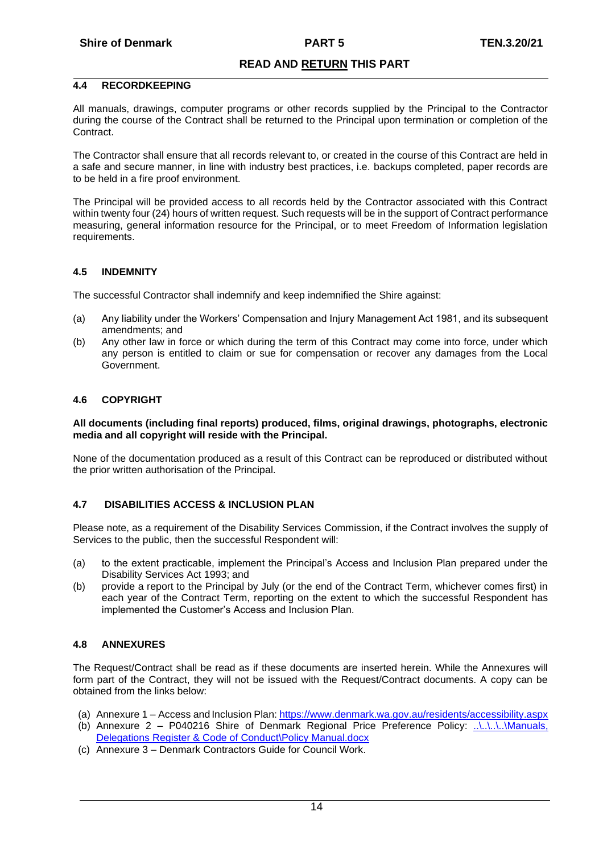#### <span id="page-13-0"></span>**4.4 RECORDKEEPING**

All manuals, drawings, computer programs or other records supplied by the Principal to the Contractor during the course of the Contract shall be returned to the Principal upon termination or completion of the **Contract.** 

The Contractor shall ensure that all records relevant to, or created in the course of this Contract are held in a safe and secure manner, in line with industry best practices, i.e. backups completed, paper records are to be held in a fire proof environment.

The Principal will be provided access to all records held by the Contractor associated with this Contract within twenty four (24) hours of written request. Such requests will be in the support of Contract performance measuring, general information resource for the Principal, or to meet Freedom of Information legislation requirements.

#### <span id="page-13-1"></span>**4.5 INDEMNITY**

The successful Contractor shall indemnify and keep indemnified the Shire against:

- (a) Any liability under the Workers' Compensation and Injury Management Act 1981, and its subsequent amendments; and
- (b) Any other law in force or which during the term of this Contract may come into force, under which any person is entitled to claim or sue for compensation or recover any damages from the Local Government.

#### <span id="page-13-2"></span>**4.6 COPYRIGHT**

#### **All documents (including final reports) produced, films, original drawings, photographs, electronic media and all copyright will reside with the Principal.**

None of the documentation produced as a result of this Contract can be reproduced or distributed without the prior written authorisation of the Principal.

### <span id="page-13-3"></span>**4.7 DISABILITIES ACCESS & INCLUSION PLAN**

Please note, as a requirement of the Disability Services Commission, if the Contract involves the supply of Services to the public, then the successful Respondent will:

- (a) to the extent practicable, implement the Principal's Access and Inclusion Plan prepared under the Disability Services Act 1993; and
- (b) provide a report to the Principal by July (or the end of the Contract Term, whichever comes first) in each year of the Contract Term, reporting on the extent to which the successful Respondent has implemented the Customer's Access and Inclusion Plan.

#### <span id="page-13-4"></span>**4.8 ANNEXURES**

The Request/Contract shall be read as if these documents are inserted herein. While the Annexures will form part of the Contract, they will not be issued with the Request/Contract documents. A copy can be obtained from the links below:

- (a) Annexure 1 Access and Inclusion Plan:<https://www.denmark.wa.gov.au/residents/accessibility.aspx>
- (b) Annexure 2 P040216 Shire of Denmark Regional Price Preference Policy: [..\..\..\..\Manuals,](file://///fileserver/Company/Corporate%20Documents%20and%20Forms/Manuals,%20Delegations%20Register%20&%20Code%20of%20Conduct/Policy%20Manual.docx)  [Delegations Register & Code of Conduct\Policy Manual.docx](file://///fileserver/Company/Corporate%20Documents%20and%20Forms/Manuals,%20Delegations%20Register%20&%20Code%20of%20Conduct/Policy%20Manual.docx)
- (c) Annexure 3 Denmark Contractors Guide for Council Work.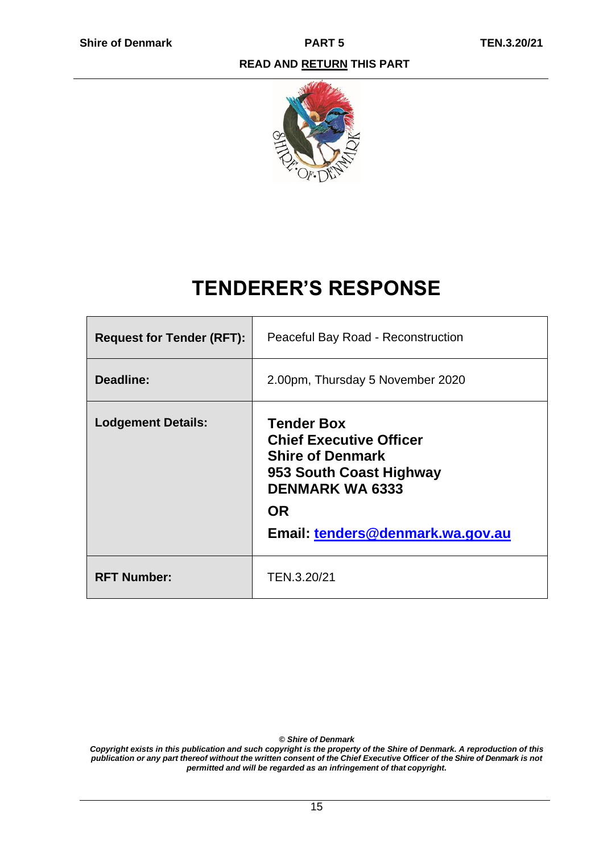

# **TENDERER'S RESPONSE**

<span id="page-14-0"></span>

| <b>Request for Tender (RFT):</b> | Peaceful Bay Road - Reconstruction                                                                                                                                                   |
|----------------------------------|--------------------------------------------------------------------------------------------------------------------------------------------------------------------------------------|
| Deadline:                        | 2.00pm, Thursday 5 November 2020                                                                                                                                                     |
| <b>Lodgement Details:</b>        | <b>Tender Box</b><br><b>Chief Executive Officer</b><br><b>Shire of Denmark</b><br>953 South Coast Highway<br><b>DENMARK WA 6333</b><br><b>OR</b><br>Email: tenders@denmark.wa.gov.au |
| <b>RFT Number:</b>               | TEN.3.20/21                                                                                                                                                                          |

*© Shire of Denmark*

*Copyright exists in this publication and such copyright is the property of the Shire of Denmark. A reproduction of this*  publication or any part thereof without the written consent of the Chief Executive Officer of the Shire of Denmark is not *permitted and will be regarded as an infringement of that copyright.*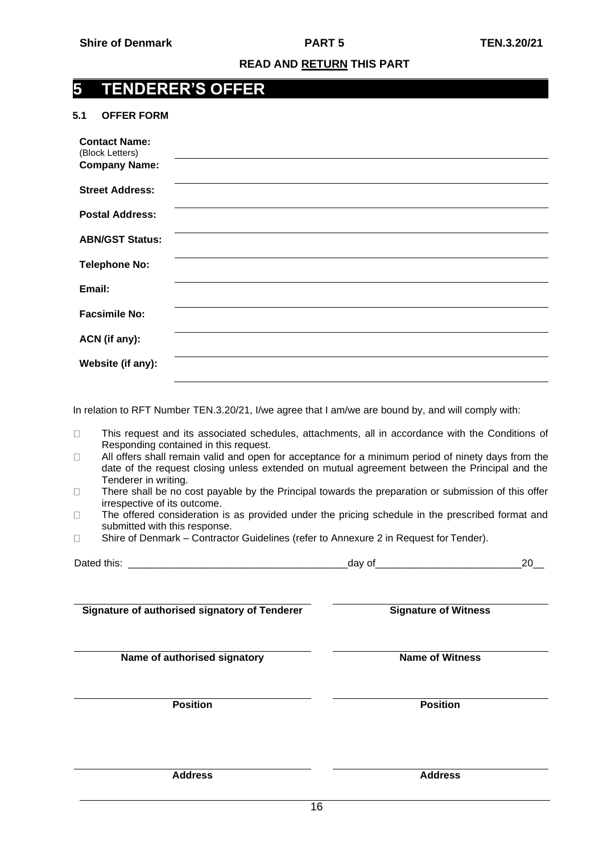# <span id="page-15-0"></span>**5 TENDERER'S OFFER**

#### <span id="page-15-1"></span>**5.1 OFFER FORM**

| <b>Contact Name:</b><br>(Block Letters)<br><b>Company Name:</b> |  |
|-----------------------------------------------------------------|--|
| <b>Street Address:</b>                                          |  |
| <b>Postal Address:</b>                                          |  |
| <b>ABN/GST Status:</b>                                          |  |
| <b>Telephone No:</b>                                            |  |
| Email:                                                          |  |
| <b>Facsimile No:</b>                                            |  |
| ACN (if any):                                                   |  |
| Website (if any):                                               |  |

In relation to RFT Number TEN.3.20/21, I/we agree that I am/we are bound by, and will comply with:

- This request and its associated schedules, attachments, all in accordance with the Conditions of  $\Box$ Responding contained in this request.
- All offers shall remain valid and open for acceptance for a minimum period of ninety days from the  $\Box$ date of the request closing unless extended on mutual agreement between the Principal and the Tenderer in writing.
- $\Box$ There shall be no cost payable by the Principal towards the preparation or submission of this offer irrespective of its outcome.
- $\Box$ The offered consideration is as provided under the pricing schedule in the prescribed format and submitted with this response.
- $\Box$ Shire of Denmark – Contractor Guidelines (refer to Annexure 2 in Request for Tender).

| D <sub>0</sub><br>tnis<br>udi. | ud |    |  |
|--------------------------------|----|----|--|
|                                |    | -- |  |

**Signature of authorised signatory of Tenderer <b>Signature** Signature of Witness

**Name of authorised signatory Name of Witness**

**Position Position**

**Address Address**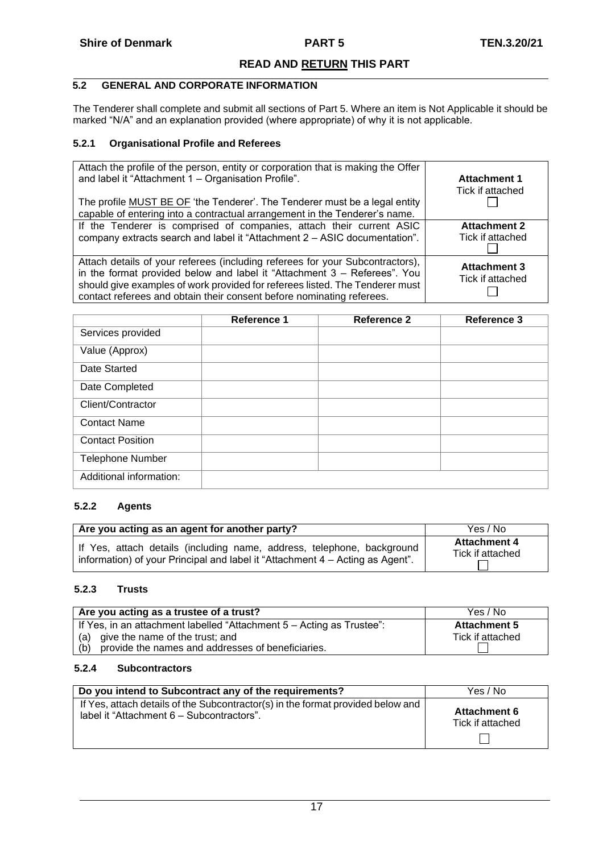# <span id="page-16-0"></span>**5.2 GENERAL AND CORPORATE INFORMATION**

The Tenderer shall complete and submit all sections of Part 5. Where an item is Not Applicable it should be marked "N/A" and an explanation provided (where appropriate) of why it is not applicable.

# <span id="page-16-1"></span>**5.2.1 Organisational Profile and Referees**

| Attach the profile of the person, entity or corporation that is making the Offer<br>and label it "Attachment 1 - Organisation Profile".<br>The profile MUST BE OF 'the Tenderer'. The Tenderer must be a legal entity<br>capable of entering into a contractual arrangement in the Tenderer's name.                | <b>Attachment 1</b><br>Tick if attached |
|--------------------------------------------------------------------------------------------------------------------------------------------------------------------------------------------------------------------------------------------------------------------------------------------------------------------|-----------------------------------------|
| If the Tenderer is comprised of companies, attach their current ASIC<br>company extracts search and label it "Attachment 2 - ASIC documentation".                                                                                                                                                                  | <b>Attachment 2</b><br>Tick if attached |
| Attach details of your referees (including referees for your Subcontractors),<br>in the format provided below and label it "Attachment 3 - Referees". You<br>should give examples of work provided for referees listed. The Tenderer must<br>contact referees and obtain their consent before nominating referees. | <b>Attachment 3</b><br>Tick if attached |

|                         | Reference 1 | <b>Reference 2</b> | <b>Reference 3</b> |
|-------------------------|-------------|--------------------|--------------------|
| Services provided       |             |                    |                    |
| Value (Approx)          |             |                    |                    |
| Date Started            |             |                    |                    |
| Date Completed          |             |                    |                    |
| Client/Contractor       |             |                    |                    |
| <b>Contact Name</b>     |             |                    |                    |
| <b>Contact Position</b> |             |                    |                    |
| <b>Telephone Number</b> |             |                    |                    |
| Additional information: |             |                    |                    |

# <span id="page-16-2"></span>**5.2.2 Agents**

| Are you acting as an agent for another party?                                 | Yes / No            |
|-------------------------------------------------------------------------------|---------------------|
| If Yes, attach details (including name, address, telephone, background        | <b>Attachment 4</b> |
| information) of your Principal and label it "Attachment 4 – Acting as Agent". | Tick if attached    |

# <span id="page-16-3"></span>**5.2.3 Trusts**

| Are you acting as a trustee of a trust?                               | Yes / No            |
|-----------------------------------------------------------------------|---------------------|
| If Yes, in an attachment labelled "Attachment 5 - Acting as Trustee": | <b>Attachment 5</b> |
| (a) give the name of the trust; and                                   | Tick if attached    |
| provide the names and addresses of beneficiaries.<br>(b)              |                     |

# <span id="page-16-4"></span>**5.2.4 Subcontractors**

| Do you intend to Subcontract any of the requirements?                           | Yes / No            |
|---------------------------------------------------------------------------------|---------------------|
| If Yes, attach details of the Subcontractor(s) in the format provided below and | <b>Attachment 6</b> |
| label it "Attachment 6 - Subcontractors".                                       | Tick if attached    |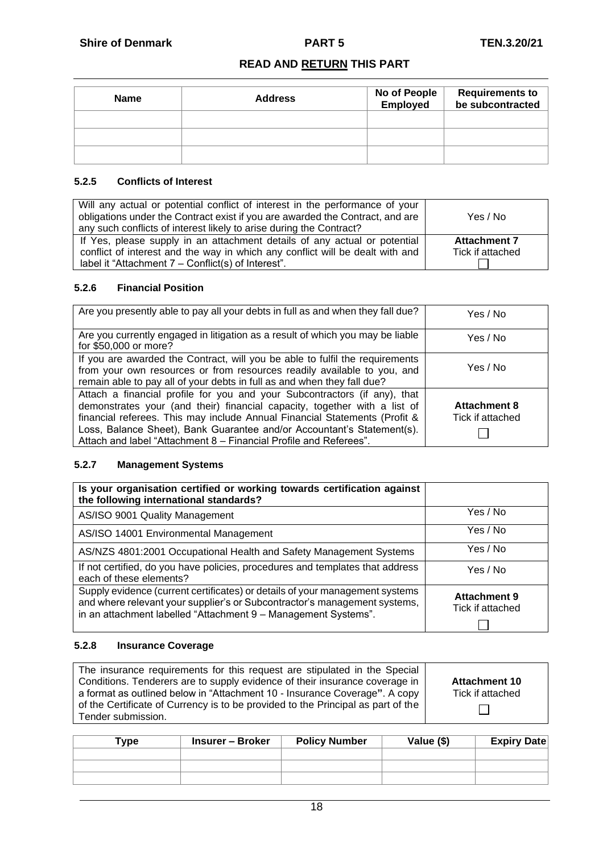| <b>Name</b> | <b>Address</b> | No of People<br>Employed | <b>Requirements to<br/>be subcontracted</b> |
|-------------|----------------|--------------------------|---------------------------------------------|
|             |                |                          |                                             |
|             |                |                          |                                             |
|             |                |                          |                                             |

# <span id="page-17-0"></span>**5.2.5 Conflicts of Interest**

| Will any actual or potential conflict of interest in the performance of your<br>obligations under the Contract exist if you are awarded the Contract, and are<br>any such conflicts of interest likely to arise during the Contract? | Yes / No                                |
|--------------------------------------------------------------------------------------------------------------------------------------------------------------------------------------------------------------------------------------|-----------------------------------------|
| If Yes, please supply in an attachment details of any actual or potential<br>conflict of interest and the way in which any conflict will be dealt with and<br>label it "Attachment 7 - Conflict(s) of Interest".                     | <b>Attachment 7</b><br>Tick if attached |

# <span id="page-17-1"></span>**5.2.6 Financial Position**

| Are you presently able to pay all your debts in full as and when they fall due?                                                                                                                                                                                                                                                                                                     | Yes / No                                |
|-------------------------------------------------------------------------------------------------------------------------------------------------------------------------------------------------------------------------------------------------------------------------------------------------------------------------------------------------------------------------------------|-----------------------------------------|
| Are you currently engaged in litigation as a result of which you may be liable<br>for \$50,000 or more?                                                                                                                                                                                                                                                                             | Yes / No                                |
| If you are awarded the Contract, will you be able to fulfil the requirements<br>from your own resources or from resources readily available to you, and<br>remain able to pay all of your debts in full as and when they fall due?                                                                                                                                                  | Yes / No                                |
| Attach a financial profile for you and your Subcontractors (if any), that<br>demonstrates your (and their) financial capacity, together with a list of<br>financial referees. This may include Annual Financial Statements (Profit &<br>Loss, Balance Sheet), Bank Guarantee and/or Accountant's Statement(s).<br>Attach and label "Attachment 8 - Financial Profile and Referees". | <b>Attachment 8</b><br>Tick if attached |

# <span id="page-17-2"></span>**5.2.7 Management Systems**

| Is your organisation certified or working towards certification against<br>the following international standards?                                                                                                           |                                         |
|-----------------------------------------------------------------------------------------------------------------------------------------------------------------------------------------------------------------------------|-----------------------------------------|
| AS/ISO 9001 Quality Management                                                                                                                                                                                              | Yes / No                                |
| AS/ISO 14001 Environmental Management                                                                                                                                                                                       | Yes / No                                |
| AS/NZS 4801:2001 Occupational Health and Safety Management Systems                                                                                                                                                          | Yes / No                                |
| If not certified, do you have policies, procedures and templates that address<br>each of these elements?                                                                                                                    | Yes / No                                |
| Supply evidence (current certificates) or details of your management systems<br>and where relevant your supplier's or Subcontractor's management systems,<br>in an attachment labelled "Attachment 9 - Management Systems". | <b>Attachment 9</b><br>Tick if attached |

# <span id="page-17-3"></span>**5.2.8 Insurance Coverage**

| The insurance requirements for this request are stipulated in the Special        |                      |
|----------------------------------------------------------------------------------|----------------------|
| Conditions. Tenderers are to supply evidence of their insurance coverage in      | <b>Attachment 10</b> |
| a format as outlined below in "Attachment 10 - Insurance Coverage". A copy       | Tick if attached     |
| of the Certificate of Currency is to be provided to the Principal as part of the |                      |
| Tender submission.                                                               |                      |
|                                                                                  |                      |

| Type : | Insurer – Broker | <b>Policy Number</b> | Value (\$) | <b>Expiry Date</b> |
|--------|------------------|----------------------|------------|--------------------|
|        |                  |                      |            |                    |
|        |                  |                      |            |                    |
|        |                  |                      |            |                    |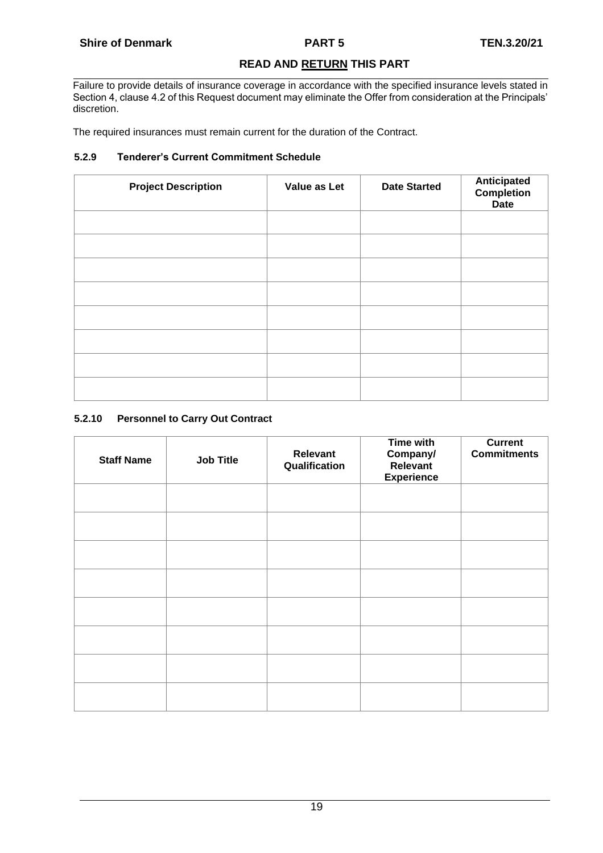Failure to provide details of insurance coverage in accordance with the specified insurance levels stated in Section 4, clause 4.2 of this Request document may eliminate the Offer from consideration at the Principals' discretion.

The required insurances must remain current for the duration of the Contract.

# <span id="page-18-0"></span>**5.2.9 Tenderer's Current Commitment Schedule**

| <b>Project Description</b> | Value as Let | <b>Date Started</b> | Anticipated<br>Completion<br><b>Date</b> |
|----------------------------|--------------|---------------------|------------------------------------------|
|                            |              |                     |                                          |
|                            |              |                     |                                          |
|                            |              |                     |                                          |
|                            |              |                     |                                          |
|                            |              |                     |                                          |
|                            |              |                     |                                          |
|                            |              |                     |                                          |
|                            |              |                     |                                          |

# <span id="page-18-1"></span>**5.2.10 Personnel to Carry Out Contract**

| <b>Staff Name</b> | <b>Job Title</b> | <b>Relevant</b><br>Qualification | <b>Time with</b><br>Company/<br>Relevant<br><b>Experience</b> | <b>Current</b><br><b>Commitments</b> |
|-------------------|------------------|----------------------------------|---------------------------------------------------------------|--------------------------------------|
|                   |                  |                                  |                                                               |                                      |
|                   |                  |                                  |                                                               |                                      |
|                   |                  |                                  |                                                               |                                      |
|                   |                  |                                  |                                                               |                                      |
|                   |                  |                                  |                                                               |                                      |
|                   |                  |                                  |                                                               |                                      |
|                   |                  |                                  |                                                               |                                      |
|                   |                  |                                  |                                                               |                                      |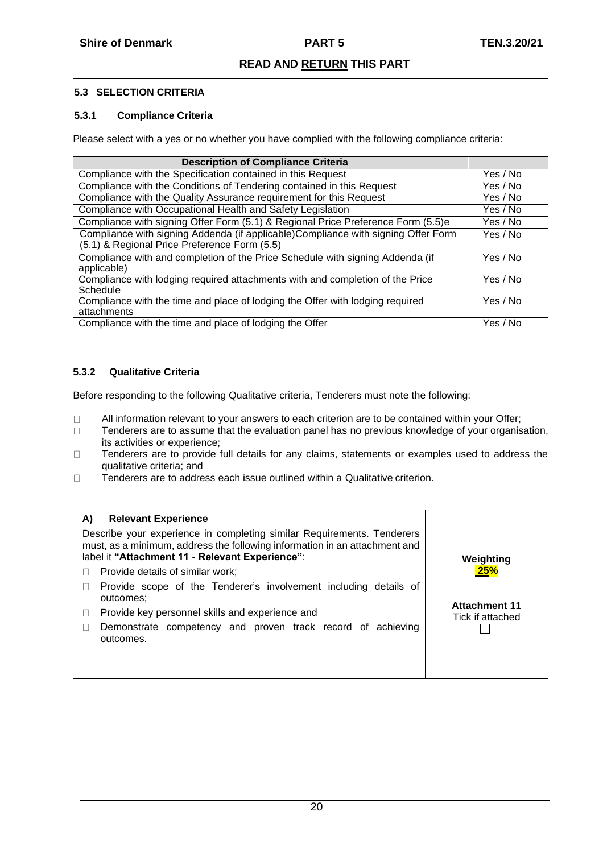# <span id="page-19-0"></span>**5.3 SELECTION CRITERIA**

# <span id="page-19-1"></span>**5.3.1 Compliance Criteria**

Please select with a yes or no whether you have complied with the following compliance criteria:

| <b>Description of Compliance Criteria</b>                                                                                          |          |
|------------------------------------------------------------------------------------------------------------------------------------|----------|
| Compliance with the Specification contained in this Request                                                                        | Yes / No |
| Compliance with the Conditions of Tendering contained in this Request                                                              | Yes / No |
| Compliance with the Quality Assurance requirement for this Request                                                                 | Yes / No |
| Compliance with Occupational Health and Safety Legislation                                                                         | Yes / No |
| Compliance with signing Offer Form (5.1) & Regional Price Preference Form (5.5)e                                                   | Yes / No |
| Compliance with signing Addenda (if applicable) Compliance with signing Offer Form<br>(5.1) & Regional Price Preference Form (5.5) | Yes / No |
| Compliance with and completion of the Price Schedule with signing Addenda (if<br>applicable)                                       | Yes / No |
| Compliance with lodging required attachments with and completion of the Price<br>Schedule                                          | Yes / No |
| Compliance with the time and place of lodging the Offer with lodging required<br>attachments                                       | Yes / No |
| Compliance with the time and place of lodging the Offer                                                                            | Yes / No |
|                                                                                                                                    |          |
|                                                                                                                                    |          |

# <span id="page-19-2"></span>**5.3.2 Qualitative Criteria**

Before responding to the following Qualitative criteria, Tenderers must note the following:

- All information relevant to your answers to each criterion are to be contained within your Offer;  $\Box$
- $\Box$ Tenderers are to assume that the evaluation panel has no previous knowledge of your organisation, its activities or experience;
- $\Box$ Tenderers are to provide full details for any claims, statements or examples used to address the qualitative criteria; and
- Tenderers are to address each issue outlined within a Qualitative criterion.  $\Box$

| A)<br><b>Relevant Experience</b><br>Describe your experience in completing similar Requirements. Tenderers<br>must, as a minimum, address the following information in an attachment and<br>label it "Attachment 11 - Relevant Experience": | Weighting            |
|---------------------------------------------------------------------------------------------------------------------------------------------------------------------------------------------------------------------------------------------|----------------------|
| Provide details of similar work;                                                                                                                                                                                                            | <b>25%</b>           |
| Provide scope of the Tenderer's involvement including details of<br>outcomes:                                                                                                                                                               | <b>Attachment 11</b> |
| Provide key personnel skills and experience and                                                                                                                                                                                             | Tick if attached     |
| Demonstrate competency and proven track record of achieving<br>outcomes.                                                                                                                                                                    |                      |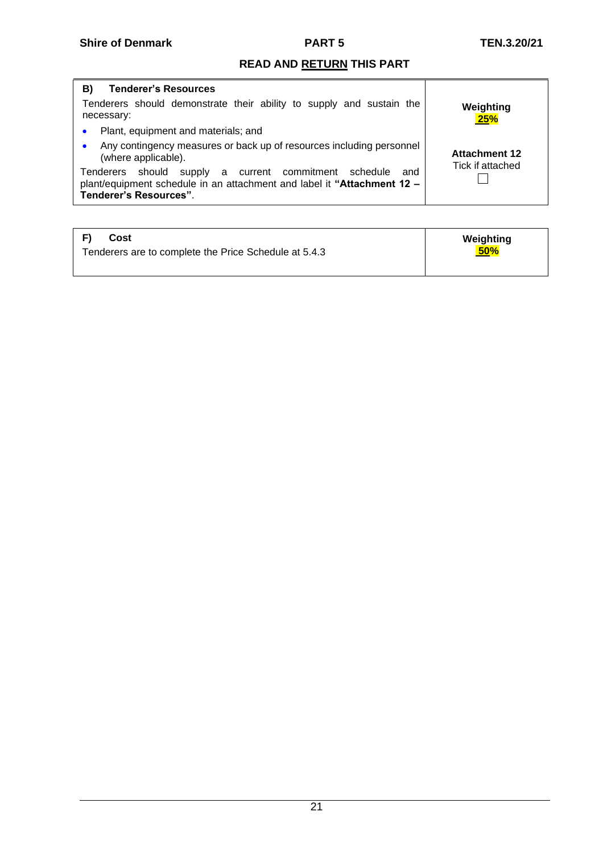| <b>Tenderer's Resources</b><br>B)                                                                                                                                              |                                          |
|--------------------------------------------------------------------------------------------------------------------------------------------------------------------------------|------------------------------------------|
| Tenderers should demonstrate their ability to supply and sustain the<br>necessary:                                                                                             | Weighting<br><b>25%</b>                  |
| Plant, equipment and materials; and                                                                                                                                            |                                          |
| Any contingency measures or back up of resources including personnel<br>(where applicable).                                                                                    | <b>Attachment 12</b><br>Tick if attached |
| supply a current commitment schedule<br>should<br>Tenderers<br>and<br>plant/equipment schedule in an attachment and label it "Attachment 12 -<br><b>Tenderer's Resources".</b> |                                          |

| E)<br>Cost                                            | Weighting  |
|-------------------------------------------------------|------------|
| Tenderers are to complete the Price Schedule at 5.4.3 | <b>50%</b> |
|                                                       |            |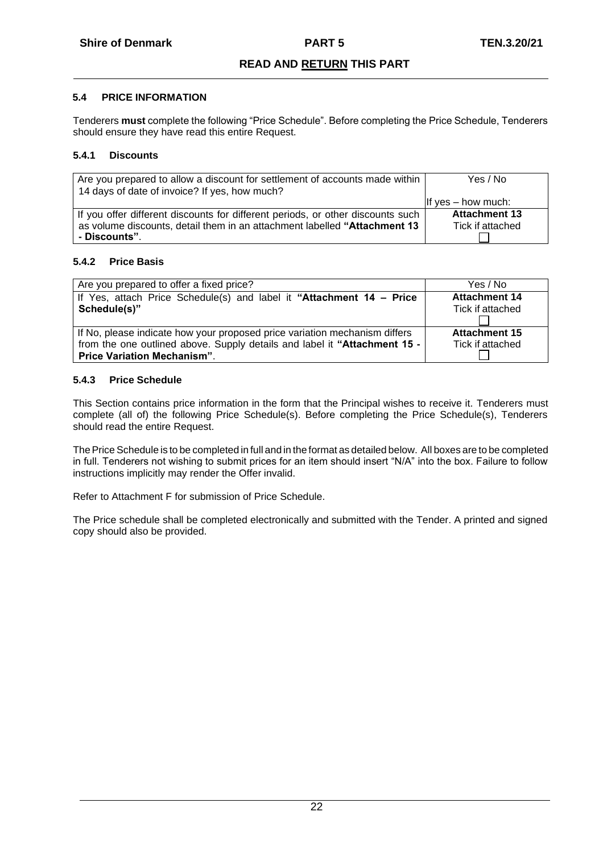# <span id="page-21-0"></span>**5.4 PRICE INFORMATION**

Tenderers **must** complete the following "Price Schedule". Before completing the Price Schedule, Tenderers should ensure they have read this entire Request.

# <span id="page-21-1"></span>**5.4.1 Discounts**

| Are you prepared to allow a discount for settlement of accounts made within<br>14 days of date of invoice? If yes, how much? | Yes / No             |
|------------------------------------------------------------------------------------------------------------------------------|----------------------|
|                                                                                                                              | If yes – how much:   |
| If you offer different discounts for different periods, or other discounts such                                              | <b>Attachment 13</b> |
| as volume discounts, detail them in an attachment labelled "Attachment 13                                                    | Tick if attached     |
| - Discounts".                                                                                                                |                      |

# **5.4.2 Price Basis**

| Are you prepared to offer a fixed price?                                   | Yes / No             |
|----------------------------------------------------------------------------|----------------------|
| If Yes, attach Price Schedule(s) and label it "Attachment 14 - Price       | <b>Attachment 14</b> |
| Schedule(s)"                                                               | Tick if attached     |
|                                                                            |                      |
| If No, please indicate how your proposed price variation mechanism differs | <b>Attachment 15</b> |
| from the one outlined above. Supply details and label it "Attachment 15 -  | Tick if attached     |
| <b>Price Variation Mechanism".</b>                                         |                      |

# **5.4.3 Price Schedule**

This Section contains price information in the form that the Principal wishes to receive it. Tenderers must complete (all of) the following Price Schedule(s). Before completing the Price Schedule(s), Tenderers should read the entire Request.

The Price Schedule is to be completed in full and in the format as detailed below. All boxes are to be completed in full. Tenderers not wishing to submit prices for an item should insert "N/A" into the box. Failure to follow instructions implicitly may render the Offer invalid.

Refer to Attachment F for submission of Price Schedule.

The Price schedule shall be completed electronically and submitted with the Tender. A printed and signed copy should also be provided.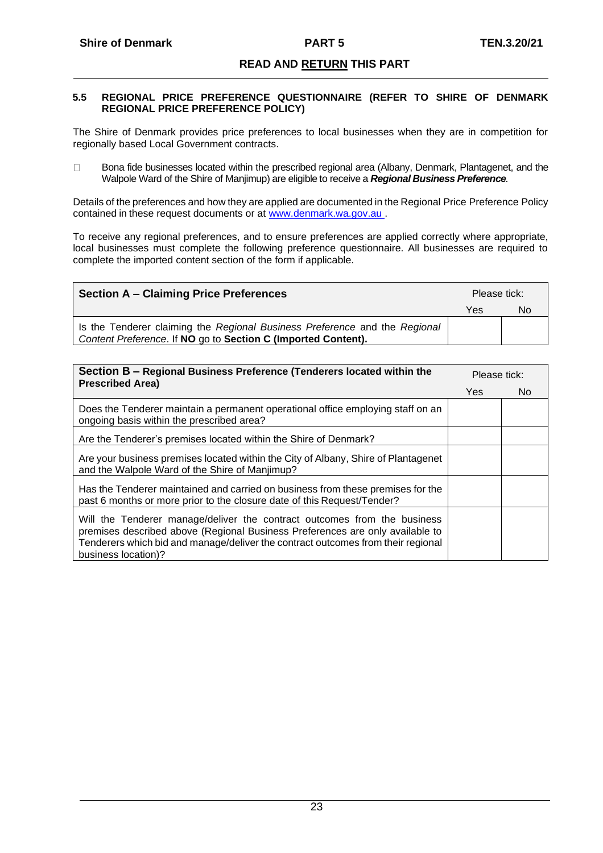#### <span id="page-22-0"></span>**5.5 REGIONAL PRICE PREFERENCE QUESTIONNAIRE (REFER TO SHIRE OF DENMARK REGIONAL PRICE PREFERENCE POLICY)**

The Shire of Denmark provides price preferences to local businesses when they are in competition for regionally based Local Government contracts.

 $\Box$ Bona fide businesses located within the prescribed regional area (Albany, Denmark, Plantagenet, and the Walpole Ward of the Shire of Manjimup) are eligible to receive a *Regional Business Preference.*

Details of the preferences and how they are applied are documented in the Regional Price Preference Policy contained in these request documents or at www.denmark.wa.gov.au .

To receive any regional preferences, and to ensure preferences are applied correctly where appropriate, local businesses must complete the following preference questionnaire. All businesses are required to complete the imported content section of the form if applicable.

| <b>Section A – Claiming Price Preferences</b>                                                                                               |     | Please tick: |  |
|---------------------------------------------------------------------------------------------------------------------------------------------|-----|--------------|--|
|                                                                                                                                             | Yes | No           |  |
| Is the Tenderer claiming the Regional Business Preference and the Regional<br>Content Preference. If NO go to Section C (Imported Content). |     |              |  |

| Section B - Regional Business Preference (Tenderers located within the<br><b>Prescribed Area)</b>                                                                                                                                                                    |     | Please tick: |  |
|----------------------------------------------------------------------------------------------------------------------------------------------------------------------------------------------------------------------------------------------------------------------|-----|--------------|--|
|                                                                                                                                                                                                                                                                      | Yes | No.          |  |
| Does the Tenderer maintain a permanent operational office employing staff on an<br>ongoing basis within the prescribed area?                                                                                                                                         |     |              |  |
| Are the Tenderer's premises located within the Shire of Denmark?                                                                                                                                                                                                     |     |              |  |
| Are your business premises located within the City of Albany, Shire of Plantagenet<br>and the Walpole Ward of the Shire of Manjimup?                                                                                                                                 |     |              |  |
| Has the Tenderer maintained and carried on business from these premises for the<br>past 6 months or more prior to the closure date of this Request/Tender?                                                                                                           |     |              |  |
| Will the Tenderer manage/deliver the contract outcomes from the business<br>premises described above (Regional Business Preferences are only available to<br>Tenderers which bid and manage/deliver the contract outcomes from their regional<br>business location)? |     |              |  |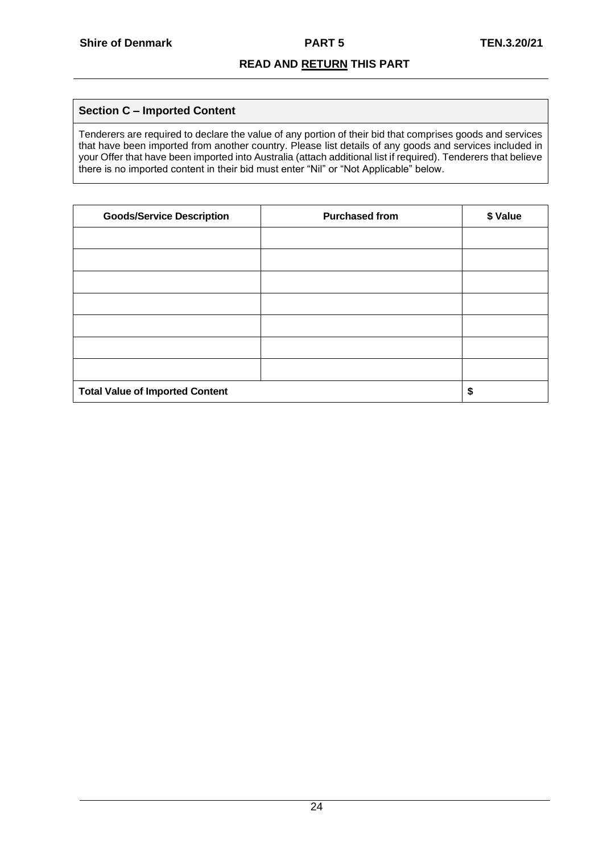# **Section C – Imported Content**

Tenderers are required to declare the value of any portion of their bid that comprises goods and services that have been imported from another country. Please list details of any goods and services included in your Offer that have been imported into Australia (attach additional list if required). Tenderers that believe there is no imported content in their bid must enter "Nil" or "Not Applicable" below.

| <b>Goods/Service Description</b>       | <b>Purchased from</b> | \$ Value |
|----------------------------------------|-----------------------|----------|
|                                        |                       |          |
|                                        |                       |          |
|                                        |                       |          |
|                                        |                       |          |
|                                        |                       |          |
|                                        |                       |          |
|                                        |                       |          |
| <b>Total Value of Imported Content</b> |                       | \$       |